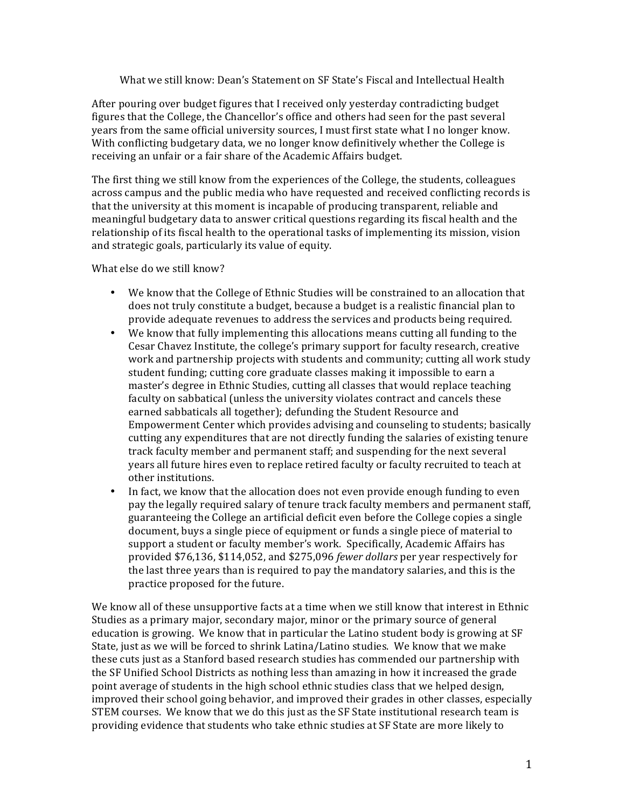What we still know: Dean's Statement on SF State's Fiscal and Intellectual Health

After pouring over budget figures that I received only yesterday contradicting budget figures that the College, the Chancellor's office and others had seen for the past several years from the same official university sources, I must first state what I no longer know. With conflicting budgetary data, we no longer know definitively whether the College is receiving an unfair or a fair share of the Academic Affairs budget.

The first thing we still know from the experiences of the College, the students, colleagues across campus and the public media who have requested and received conflicting records is that the university at this moment is incapable of producing transparent, reliable and meaningful budgetary data to answer critical questions regarding its fiscal health and the relationship of its fiscal health to the operational tasks of implementing its mission, vision and strategic goals, particularly its value of equity.

What else do we still know?

- We know that the College of Ethnic Studies will be constrained to an allocation that does not truly constitute a budget, because a budget is a realistic financial plan to provide adequate revenues to address the services and products being required.
- We know that fully implementing this allocations means cutting all funding to the Cesar Chavez Institute, the college's primary support for faculty research, creative work and partnership projects with students and community; cutting all work study student funding; cutting core graduate classes making it impossible to earn a master's degree in Ethnic Studies, cutting all classes that would replace teaching faculty on sabbatical (unless the university violates contract and cancels these earned sabbaticals all together); defunding the Student Resource and Empowerment Center which provides advising and counseling to students; basically cutting any expenditures that are not directly funding the salaries of existing tenure track faculty member and permanent staff; and suspending for the next several years all future hires even to replace retired faculty or faculty recruited to teach at other institutions.
- In fact, we know that the allocation does not even provide enough funding to even pay the legally required salary of tenure track faculty members and permanent staff, guaranteeing the College an artificial deficit even before the College copies a single document, buys a single piece of equipment or funds a single piece of material to support a student or faculty member's work. Specifically, Academic Affairs has provided \$76,136, \$114,052, and \$275,096 *fewer dollars* per year respectively for the last three years than is required to pay the mandatory salaries, and this is the practice proposed for the future.

We know all of these unsupportive facts at a time when we still know that interest in Ethnic Studies as a primary major, secondary major, minor or the primary source of general education is growing. We know that in particular the Latino student body is growing at SF State, just as we will be forced to shrink Latina/Latino studies. We know that we make these cuts just as a Stanford based research studies has commended our partnership with the SF Unified School Districts as nothing less than amazing in how it increased the grade point average of students in the high school ethnic studies class that we helped design, improved their school going behavior, and improved their grades in other classes, especially STEM courses. We know that we do this just as the SF State institutional research team is providing evidence that students who take ethnic studies at SF State are more likely to